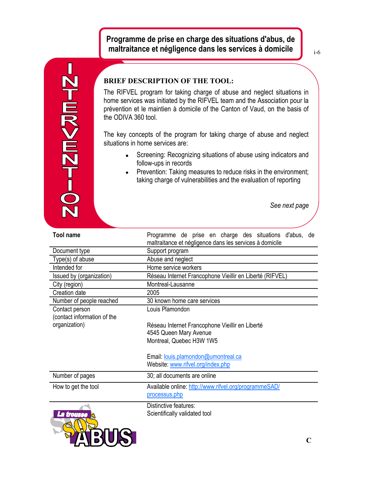Н **NO-RINAW-01** 

**PALE REPR** 

## **BRIEF DESCRIPTION OF THE TOOL:**

The RIFVEL program for taking charge of abuse and neglect situations in home services was initiated by the RIFVEL team and the Association pour la prévention et le maintien à domicile of the Canton of Vaud, on the basis of the ODIVA 360 tool.

The key concepts of the program for taking charge of abuse and neglect situations in home services are:

- Screening: Recognizing situations of abuse using indicators and follow-ups in records
- Prevention: Taking measures to reduce risks in the environment; taking charge of vulnerabilities and the evaluation of reporting

*See next page*

| <b>Tool name</b>                              | Programme de prise en charge des situations d'abus, de<br>maltraitance et négligence dans les services à domicile |
|-----------------------------------------------|-------------------------------------------------------------------------------------------------------------------|
| Document type                                 | Support program                                                                                                   |
| Type(s) of abuse                              | Abuse and neglect                                                                                                 |
| Intended for                                  | Home service workers                                                                                              |
| Issued by (organization)                      | Réseau Internet Francophone Vieillir en Liberté (RIFVEL)                                                          |
| City (region)                                 | Montreal-Lausanne                                                                                                 |
| Creation date                                 | 2005                                                                                                              |
| Number of people reached                      | 30 known home care services                                                                                       |
| Contact person<br>(contact information of the | Louis Plamondon                                                                                                   |
| organization)                                 | Réseau Internet Francophone Vieillir en Liberté                                                                   |
|                                               | 4545 Queen Mary Avenue                                                                                            |
|                                               | Montreal, Quebec H3W 1W5                                                                                          |
|                                               | Email: louis.plamondon@umontreal.ca<br>Website: www.rifvel.org/index.php                                          |
| Number of pages                               | 30; all documents are online                                                                                      |
| How to get the tool                           | Available online: http://www.rifvel.org/programmeSAD/<br>processus.php                                            |
| La trousse                                    | Distinctive features:<br>Scientifically validated tool                                                            |